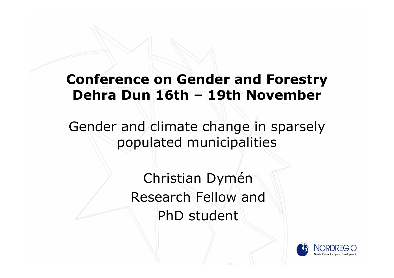#### **Conference on Gender and Forestry DehraDun 16th –19th November**

Gender and climate change in sparsely populated municipalities

> Christian Dymén Research Fellow andPhD student

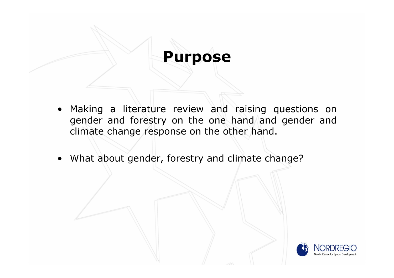#### **Purpose**

- Making a literature review and raising questions on gender and forestry on the one hand and gender and climate change response on the other hand.
- What about gender, forestry and climate change?

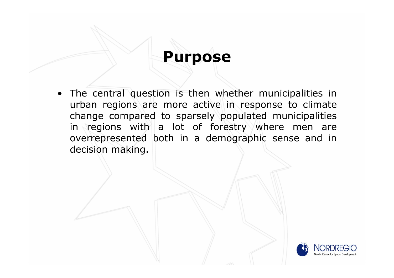### **Purpose**

• The central question is then whether municipalities in urban regions are more active in response to climate change compared to sparsely populated municipalities in regions with a lot of forestry where men are overrepresented both in a demographic sense and in decision making.

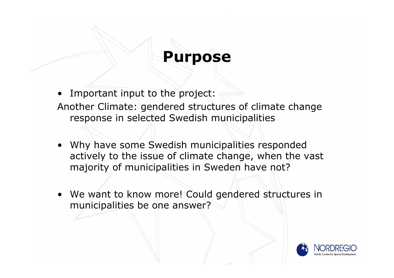#### **Purpose**

- •Important input to the project:
- Another Climate: gendered structures of climate change response in selected Swedish municipalities
- Why have some Swedish municipalities responded actively to the issue of climate change, when the vast majority of municipalities in Sweden have not?
- We want to know more! Could gendered structures in municipalities be one answer?

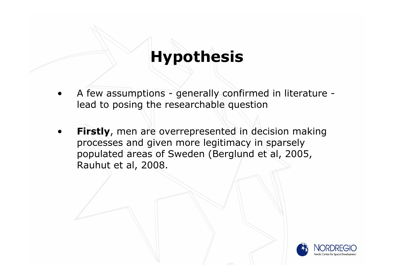- • A few assumptions - generally confirmed in literature lead to posing the researchable question
- • **Firstly**, men are overrepresented in decision making processes and given more legitimacy in sparsely populated areas of Sweden (Berglund et al, 2005, Rauhut et al, 2008.

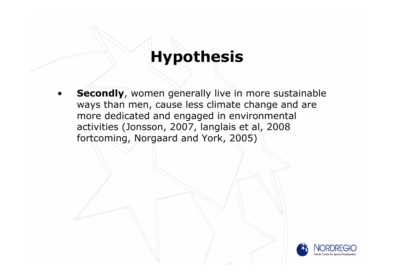• **Secondly**, women generally live in more sustainable ways than men, cause less climate change and are more dedicated and engaged in environmental activities (Jonsson, 2007, langlais et al, 2008 fortcoming, Norgaard and York, 2005)

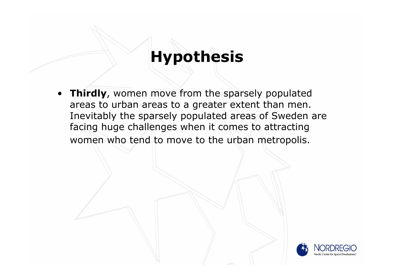• **Thirdly**, women move from the sparsely populated areas to urban areas to a greater extent than men. Inevitably the sparsely populated areas of Sweden are facing huge challenges when it comes to attracting women who tend to move to the urban metropolis.

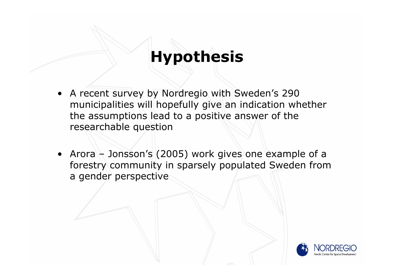- A recent survey by Nordregio with Sweden's 290 municipalities will hopefully give an indication whether the assumptions lead to a positive answer of the researchable question
- Arora Jonsson's (2005) work gives one example of a forestry community in sparsely populated Sweden from a gender perspective

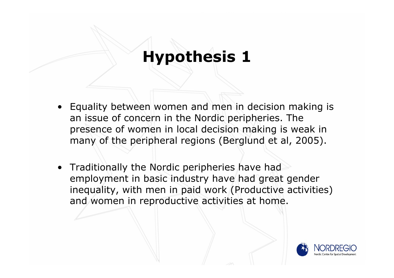- Equality between women and men in decision making is an issue of concern in the Nordic peripheries. The presence of women in local decision making is weak in many of the peripheral regions (Berglund et al, 2005).
- Traditionally the Nordic peripheries have had employment in basic industry have had great gender inequality, with men in paid work (Productive activities) and women in reproductive activities at home.

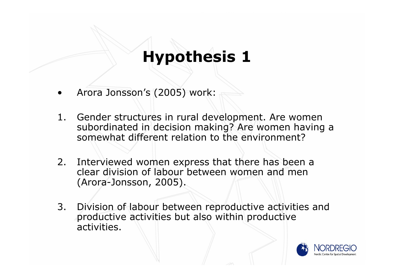- •Arora Jonsson's (2005) work:
- 1. Gender structures in rural development. Are women subordinated in decision making? Are women having a somewhat different relation to the environment?
- 2. Interviewed women express that there has been a clear division of labour between women and men (Arora-Jonsson, 2005).
- 3. Division of labour between reproductive activities and productive activities but also within productive activities.

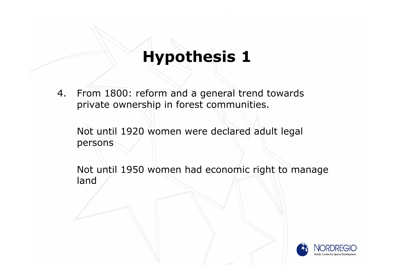4. From 1800: reform and a general trend towards private ownership in forest communities.

Not until 1920 women were declared adult legal persons

Not until 1950 women had economic right to manage land

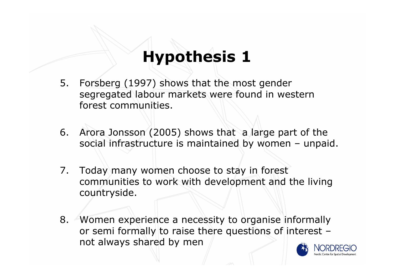- 5. Forsberg (1997) shows that the most gender segregated labour markets were found in western forest communities.
- 6. Arora Jonsson (2005) shows that a large part of the social infrastructure is maintained by women – unpaid.
- 7. Today many women choose to stay in forest communities to work with development and the living countryside.
- 8. Women experience a necessity to organise informally or semi formally to raise there questions of interest – not always shared by men

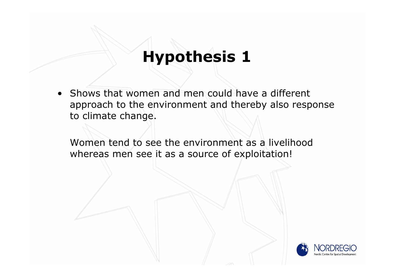• Shows that women and men could have a different approach to the environment and thereby also response to climate change.

Women tend to see the environment as a livelihood whereas men see it as a source of exploitation!

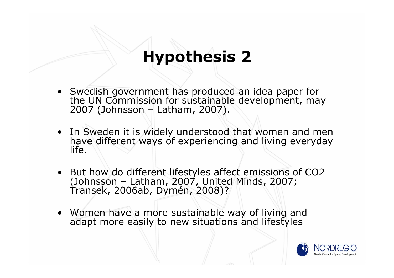- Swedish government has produced an idea paper for Swedish government has produced an idea paper for the UN Commission for sustainable development, may 2007 (Johnsson – Latham, 2007).
- In Sweden it is widely understood that women and men have different ways of experiencing and living everyday life.
- But how do different lifestyles affect emissions of CO2 (Johnsson – Latham, 2007, United Minds, 2007; Transek, 2006ab, Dymén, 2008)?
- Women have a more sustainable way of living and adapt more easily to new situations and lifestyles

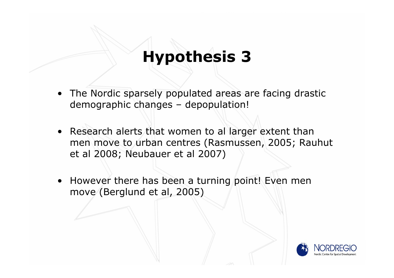- • The Nordic sparsely populated areas are facing drastic demographic changes – depopulation!
- Research alerts that women to al larger extent than men move to urban centres (Rasmussen, 2005; Rauhut et al 2008; Neubauer et al 2007)
- However there has been a turning point! Even men move (Berglund et al, 2005)

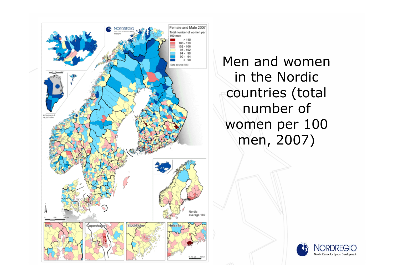

Men and women in the Nordic countries (total number of women per 100 men, 2007)

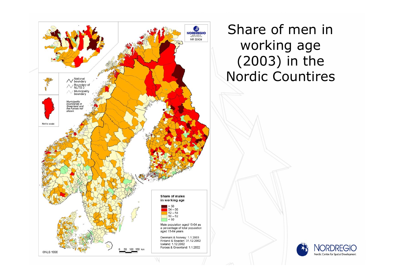

Share of men in working age (2003) in the Nordic Countires

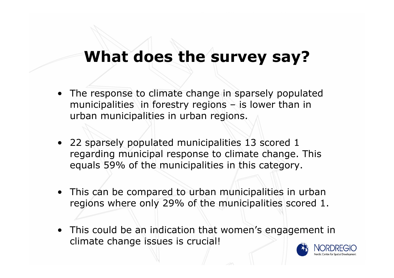- The response to climate change in sparsely populated municipalities in forestry regions – is lower than in urban municipalities in urban regions.
- 22 sparsely populated municipalities 13 scored 1 regarding municipal response to climate change. This equals 59% of the municipalities in this category.
- This can be compared to urban municipalities in urban regions where only 29% of the municipalities scored 1.
- This could be an indication that women's engagement in climate change issues is crucial!

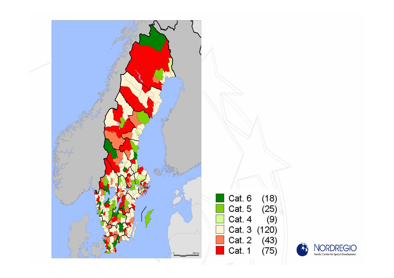

Cat. 6  $(18)$ Cat. 5  $(25)$ Cat. 4  $(9)$ Cat. 3 (120) Cat. 2 (43)<br>Cat. 1 (75)

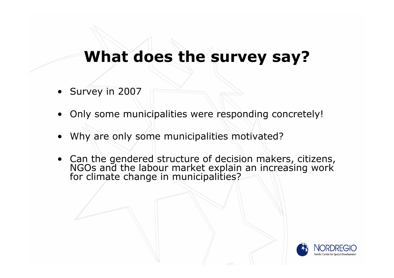- Survey in 2007
- •Only some municipalities were responding concretely!
- •Why are only some municipalities motivated?
- Can the gendered structure of decision makers, citizens, NGOs and the labour market explain an increasing work for climate change in municipalities?

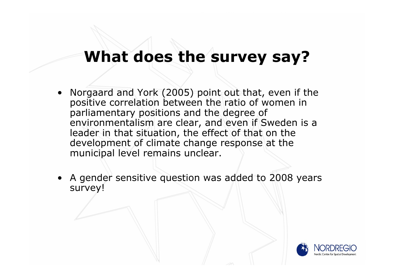- • Norgaard and York (2005) point out that, even if the positive correlation between the ratio of women in parliamentary positions and the degree of environmentalism are clear, and even if Sweden is a leader in that situation, the effect of that on the development of climate change response at the municipal level remains unclear.
- A gender sensitive question was added to 2008 years survey!

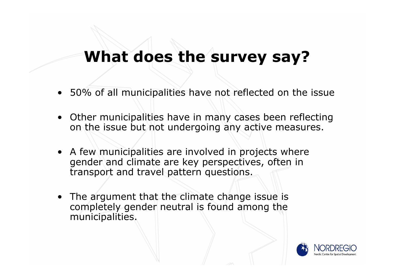- 50% of all municipalities have not reflected on the issue
- Other municipalities have in many cases been reflecting on the issue but not undergoing any active measures.
- A few municipalities are involved in projects where gender and climate are key perspectives, often in transport and travel pattern questions.
- The argument that the climate change issue is completely gender neutral is found among the municipalities.

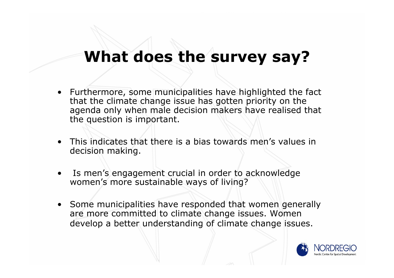- Furthermore, some municipalities have highlighted the fact that the climate change issue has gotten priority on the agenda only when male decision makers have realised that the question is important.
- • This indicates that there is a bias towards men's values in decision making.
- • Is men's engagement crucial in order to acknowledge women's more sustainable ways of living?
- Some municipalities have responded that women generally are more committed to climate change issues. Women develop a better understanding of climate change issues.

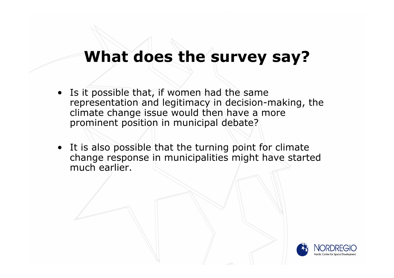- • Is it possible that, if women had the same representation and legitimacy in decision-making, the climate change issue would then have a more prominent position in municipal debate?
- It is also possible that the turning point for climate change response in municipalities might have started much earlier.